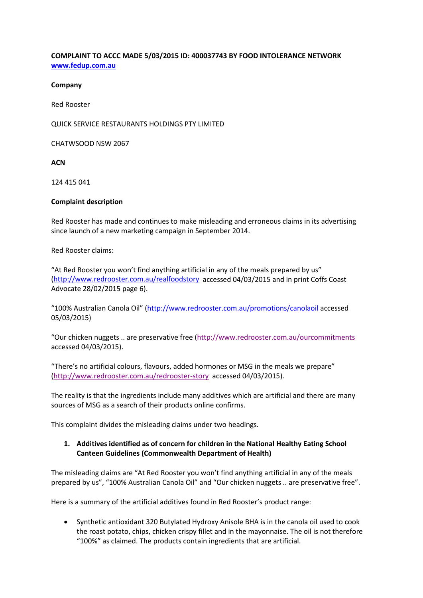## **COMPLAINT TO ACCC MADE 5/03/2015 ID: 400037743 BY FOOD INTOLERANCE NETWORK [www.fedup.com.au](http://www.fedup.com.au/)**

#### **Company**

Red Rooster

QUICK SERVICE RESTAURANTS HOLDINGS PTY LIMITED

CHATWSOOD NSW 2067

**ACN**

124 415 041

#### **Complaint description**

Red Rooster has made and continues to make misleading and erroneous claims in its advertising since launch of a new marketing campaign in September 2014.

Red Rooster claims:

"At Red Rooster you won't find anything artificial in any of the meals prepared by us" [\(http://www.redrooster.com.au/realfoodstory](http://www.redrooster.com.au/realfoodstory) accessed 04/03/2015 and in print Coffs Coast Advocate 28/02/2015 page 6).

"100% Australian Canola Oil" [\(http://www.redrooster.com.au/promotions/canolaoil](http://www.redrooster.com.au/promotions/canolaoil) accessed 05/03/2015)

"Our chicken nuggets .. are preservative free [\(http://www.redrooster.com.au/ourcommitments](http://www.redrooster.com.au/ourcommitments) accessed 04/03/2015).

"There's no artificial colours, flavours, added hormones or MSG in the meals we prepare" [\(http://www.redrooster.com.au/redrooster-story](http://www.redrooster.com.au/redrooster-story) accessed 04/03/2015).

The reality is that the ingredients include many additives which are artificial and there are many sources of MSG as a search of their products online confirms.

This complaint divides the misleading claims under two headings.

## **1. Additives identified as of concern for children in the National Healthy Eating School Canteen Guidelines (Commonwealth Department of Health)**

The misleading claims are "At Red Rooster you won't find anything artificial in any of the meals prepared by us", "100% Australian Canola Oil" and "Our chicken nuggets .. are preservative free".

Here is a summary of the artificial additives found in Red Rooster's product range:

• Synthetic antioxidant 320 Butylated Hydroxy Anisole BHA is in the canola oil used to cook the roast potato, chips, chicken crispy fillet and in the mayonnaise. The oil is not therefore "100%" as claimed. The products contain ingredients that are artificial.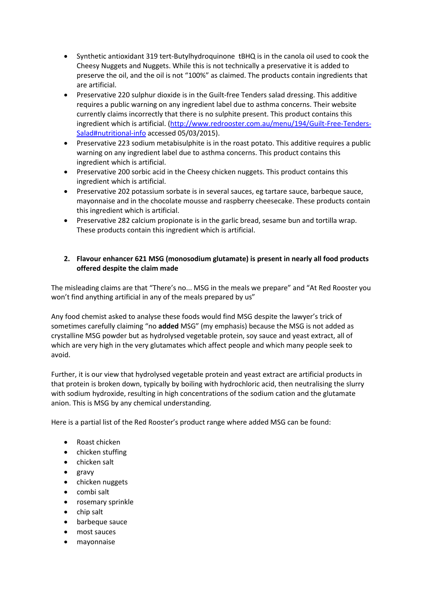- Synthetic antioxidant 319 tert-Butylhydroquinone tBHQ is in the canola oil used to cook the Cheesy Nuggets and Nuggets. While this is not technically a preservative it is added to preserve the oil, and the oil is not "100%" as claimed. The products contain ingredients that are artificial.
- Preservative 220 sulphur dioxide is in the Guilt-free Tenders salad dressing. This additive requires a public warning on any ingredient label due to asthma concerns. Their website currently claims incorrectly that there is no sulphite present. This product contains this ingredient which is artificial. [\(http://www.redrooster.com.au/menu/194/Guilt-Free-Tenders-](http://www.redrooster.com.au/menu/194/Guilt-Free-Tenders-Salad#nutritional-info)[Salad#nutritional-info](http://www.redrooster.com.au/menu/194/Guilt-Free-Tenders-Salad#nutritional-info) accessed 05/03/2015).
- Preservative 223 sodium metabisulphite is in the roast potato. This additive requires a public warning on any ingredient label due to asthma concerns. This product contains this ingredient which is artificial.
- Preservative 200 sorbic acid in the Cheesy chicken nuggets. This product contains this ingredient which is artificial.
- Preservative 202 potassium sorbate is in several sauces, eg tartare sauce, barbeque sauce, mayonnaise and in the chocolate mousse and raspberry cheesecake. These products contain this ingredient which is artificial.
- Preservative 282 calcium propionate is in the garlic bread, sesame bun and tortilla wrap. These products contain this ingredient which is artificial.

# **2. Flavour enhancer 621 MSG (monosodium glutamate) is present in nearly all food products offered despite the claim made**

The misleading claims are that "There's no... MSG in the meals we prepare" and "At Red Rooster you won't find anything artificial in any of the meals prepared by us"

Any food chemist asked to analyse these foods would find MSG despite the lawyer's trick of sometimes carefully claiming "no **added** MSG" (my emphasis) because the MSG is not added as crystalline MSG powder but as hydrolysed vegetable protein, soy sauce and yeast extract, all of which are very high in the very glutamates which affect people and which many people seek to avoid.

Further, it is our view that hydrolysed vegetable protein and yeast extract are artificial products in that protein is broken down, typically by boiling with hydrochloric acid, then neutralising the slurry with sodium hydroxide, resulting in high concentrations of the sodium cation and the glutamate anion. This is MSG by any chemical understanding.

Here is a partial list of the Red Rooster's product range where added MSG can be found:

- Roast chicken
- chicken stuffing
- chicken salt
- gravy
- chicken nuggets
- combi salt
- rosemary sprinkle
- chip salt
- barbeque sauce
- most sauces
- mayonnaise